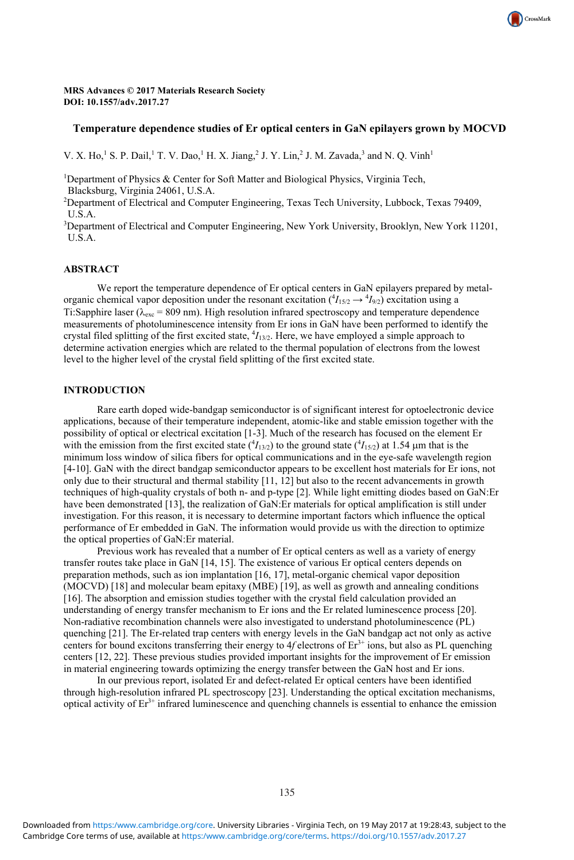MRS Advances © 2017 Materials Research Society **DOI: 10.1557/adv.2017.27** 

# **Temperature dependence studies of Er optical centers in GaN epilayers grown by MOCVD**

CrossMark

V. X. Ho,<sup>1</sup> S. P. Dail,<sup>1</sup> T. V. Dao,<sup>1</sup> H. X. Jiang,<sup>2</sup> J. Y. Lin,<sup>2</sup> J. M. Zavada,<sup>3</sup> and N. Q. Vinh<sup>1</sup>

<sup>1</sup>Department of Physics & Center for Soft Matter and Biological Physics, Virginia Tech, Blacksburg, Virginia 24061, U.S.A.

2 Department of Electrical and Computer Engineering, Texas Tech University, Lubbock, Texas 79409, U.S.A.

3 Department of Electrical and Computer Engineering, New York University, Brooklyn, New York 11201, U.S.A.

# **ABSTRACT**

We report the temperature dependence of Er optical centers in GaN epilayers prepared by metalorganic chemical vapor deposition under the resonant excitation  $(^{4}I_{15/2} \rightarrow ^{4}I_{9/2})$  excitation using a Ti:Sapphire laser ( $\lambda_{\text{exc}}$  = 809 nm). High resolution infrared spectroscopy and temperature dependence measurements of photoluminescence intensity from Er ions in GaN have been performed to identify the crystal filed splitting of the first excited state,  ${}^4I_{13/2}$ . Here, we have employed a simple approach to determine activation energies which are related to the thermal population of electrons from the lowest level to the higher level of the crystal field splitting of the first excited state.

## **INTRODUCTION**

Rare earth doped wide-bandgap semiconductor is of significant interest for optoelectronic device applications, because of their temperature independent, atomic-like and stable emission together with the possibility of optical or electrical excitation [1-3]. Much of the research has focused on the element Er with the emission from the first excited state  $({}^4I_{13/2})$  to the ground state  $({}^4I_{15/2})$  at 1.54  $\mu$ m that is the minimum loss window of silica fibers for optical communications and in the eye-safe wavelength region [4-10]. GaN with the direct bandgap semiconductor appears to be excellent host materials for Er ions, not only due to their structural and thermal stability [11, 12] but also to the recent advancements in growth techniques of high-quality crystals of both n- and p-type [2]. While light emitting diodes based on GaN:Er have been demonstrated [13], the realization of GaN:Er materials for optical amplification is still under investigation. For this reason, it is necessary to determine important factors which influence the optical performance of Er embedded in GaN. The information would provide us with the direction to optimize the optical properties of GaN:Er material.

Previous work has revealed that a number of Er optical centers as well as a variety of energy transfer routes take place in GaN [14, 15]. The existence of various Er optical centers depends on preparation methods, such as ion implantation [16, 17], metal-organic chemical vapor deposition (MOCVD) [18] and molecular beam epitaxy (MBE) [19], as well as growth and annealing conditions [16]. The absorption and emission studies together with the crystal field calculation provided an understanding of energy transfer mechanism to Er ions and the Er related luminescence process [20]. Non-radiative recombination channels were also investigated to understand photoluminescence (PL) quenching [21]. The Er-related trap centers with energy levels in the GaN bandgap act not only as active centers for bound excitons transferring their energy to  $4f$  electrons of  $Er<sup>3+</sup>$  ions, but also as PL quenching centers [12, 22]. These previous studies provided important insights for the improvement of Er emission in material engineering towards optimizing the energy transfer between the GaN host and Er ions.

In our previous report, isolated Er and defect-related Er optical centers have been identified through high-resolution infrared PL spectroscopy [23]. Understanding the optical excitation mechanisms, optical activity of  $Er<sup>3+</sup>$  infrared luminescence and quenching channels is essential to enhance the emission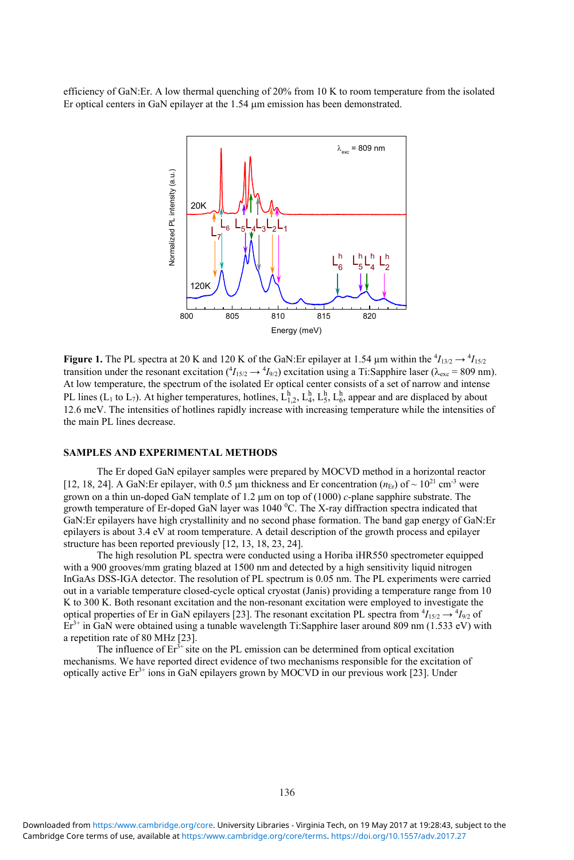efficiency of GaN:Er. A low thermal quenching of 20% from 10 K to room temperature from the isolated Er optical centers in GaN epilayer at the  $1.54 \mu m$  emission has been demonstrated.



**Figure 1.** The PL spectra at 20 K and 120 K of the GaN: Er epilayer at 1.54  $\mu$ m within the  ${}^4I_{13/2} \rightarrow {}^4I_{15/2}$ transition under the resonant excitation  $({}^4I_{15/2} \rightarrow {}^4I_{9/2})$  excitation using a Ti:Sapphire laser ( $\lambda_{\text{exc}}$  = 809 nm). At low temperature, the spectrum of the isolated Er optical center consists of a set of narrow and intense PL lines (L<sub>1</sub> to L<sub>7</sub>). At higher temperatures, hotlines,  $L_{1,2}^h$ ,  $L_4^h$ ,  $L_5^h$ ,  $L_6^h$ , appear and are displaced by about 12.6 meV. The intensities of hotlines rapidly increase with increasing temperature while the intensities of the main PL lines decrease.

#### **SAMPLES AND EXPERIMENTAL METHODS**

The Er doped GaN epilayer samples were prepared by MOCVD method in a horizontal reactor [12, 18, 24]. A GaN: Er epilayer, with  $0.5 \mu m$  thickness and Er concentration ( $n_{\text{Er}}$ ) of ~ 10<sup>21</sup> cm<sup>-3</sup> were grown on a thin un-doped GaN template of  $1.2 \mu$ m on top of  $(1000)$  *c*-plane sapphire substrate. The growth temperature of Er-doped GaN layer was 1040  $^{\circ}$ C. The X-ray diffraction spectra indicated that GaN:Er epilayers have high crystallinity and no second phase formation. The band gap energy of GaN:Er epilayers is about 3.4 eV at room temperature. A detail description of the growth process and epilayer structure has been reported previously [12, 13, 18, 23, 24].

The high resolution PL spectra were conducted using a Horiba iHR550 spectrometer equipped with a 900 grooves/mm grating blazed at 1500 nm and detected by a high sensitivity liquid nitrogen InGaAs DSS-IGA detector. The resolution of PL spectrum is 0.05 nm. The PL experiments were carried out in a variable temperature closed-cycle optical cryostat (Janis) providing a temperature range from 10 K to 300 K. Both resonant excitation and the non-resonant excitation were employed to investigate the optical properties of Er in GaN epilayers [23]. The resonant excitation PL spectra from  ${}^4I_{15/2} \rightarrow {}^4I_{9/2}$  of  $Er^{3+}$  in GaN were obtained using a tunable wavelength Ti:Sapphire laser around 809 nm (1.533 eV) with a repetition rate of 80 MHz [23].

The influence of  $Er<sup>3+</sup>$  site on the PL emission can be determined from optical excitation mechanisms. We have reported direct evidence of two mechanisms responsible for the excitation of optically active  $Er<sup>3+</sup>$  ions in GaN epilayers grown by MOCVD in our previous work [23]. Under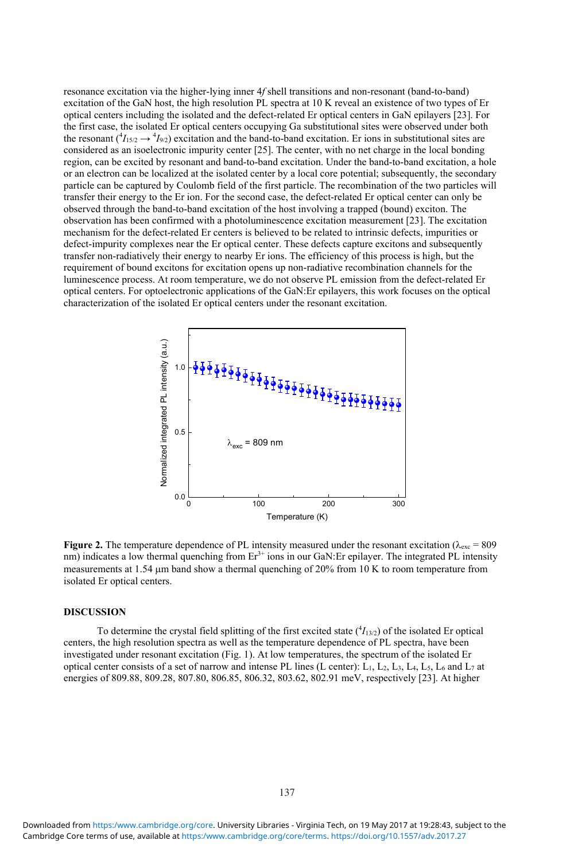resonance excitation via the higher-lying inner 4*f* shell transitions and non-resonant (band-to-band) excitation of the GaN host, the high resolution PL spectra at 10 K reveal an existence of two types of Er optical centers including the isolated and the defect-related Er optical centers in GaN epilayers [23]. For the first case, the isolated Er optical centers occupying Ga substitutional sites were observed under both the resonant  $(^{4}I_{15/2} \rightarrow ^{4}I_{9/2})$  excitation and the band-to-band excitation. Er ions in substitutional sites are considered as an isoelectronic impurity center [25]. The center, with no net charge in the local bonding region, can be excited by resonant and band-to-band excitation. Under the band-to-band excitation, a hole or an electron can be localized at the isolated center by a local core potential; subsequently, the secondary particle can be captured by Coulomb field of the first particle. The recombination of the two particles will transfer their energy to the Er ion. For the second case, the defect-related Er optical center can only be observed through the band-to-band excitation of the host involving a trapped (bound) exciton. The observation has been confirmed with a photoluminescence excitation measurement [23]. The excitation mechanism for the defect-related Er centers is believed to be related to intrinsic defects, impurities or defect-impurity complexes near the Er optical center. These defects capture excitons and subsequently transfer non-radiatively their energy to nearby Er ions. The efficiency of this process is high, but the requirement of bound excitons for excitation opens up non-radiative recombination channels for the luminescence process. At room temperature, we do not observe PL emission from the defect-related Er optical centers. For optoelectronic applications of the GaN:Er epilayers, this work focuses on the optical characterization of the isolated Er optical centers under the resonant excitation.



**Figure 2.** The temperature dependence of PL intensity measured under the resonant excitation ( $\lambda_{\text{exc}} = 809$  nm) indicates a low thermal quenching from Er<sup>3+</sup> ions in our GaN:Er epilayer. The integrated PL intensity measurements at 1.54  $\mu$ m band show a thermal quenching of 20% from 10 K to room temperature from isolated Er optical centers.

#### **DISCUSSION**

To determine the crystal field splitting of the first excited state  $(^{4}I_{13/2})$  of the isolated Er optical centers, the high resolution spectra as well as the temperature dependence of PL spectra, have been investigated under resonant excitation (Fig. 1). At low temperatures, the spectrum of the isolated Er optical center consists of a set of narrow and intense PL lines (L center):  $\bar{L}_1$ ,  $\bar{L}_2$ ,  $\bar{L}_3$ ,  $\bar{L}_4$ ,  $\bar{L}_5$ ,  $\bar{L}_6$  and  $\bar{L}_7$  at energies of 809.88, 809.28, 807.80, 806.85, 806.32, 803.62, 802.91 meV, respectively [23]. At higher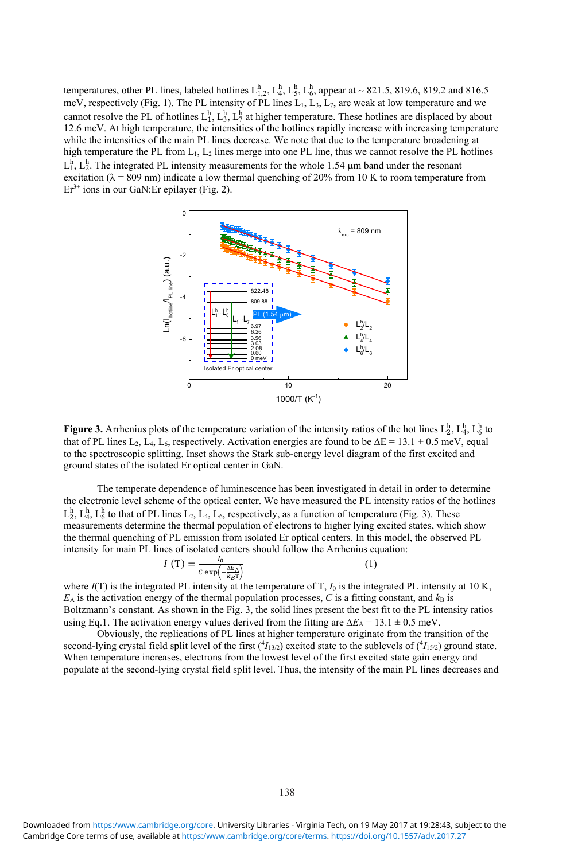temperatures, other PL lines, labeled hotlines  $L_{1,2}^h$ ,  $L_4^h$ ,  $L_5^h$ ,  $L_6^h$ , appear at ~821.5, 819.6, 819.2 and 816.5 meV, respectively (Fig. 1). The PL intensity of PL lines  $L_1$ ,  $L_3$ ,  $L_7$ , are weak at low temperature and we cannot resolve the PL of hotlines  $L_1^h, L_3^h, L_7^h$  at higher temperature. These hotlines are displaced by about 12.6 meV. At high temperature, the intensities of the hotlines rapidly increase with increasing temperature while the intensities of the main PL lines decrease. We note that due to the temperature broadening at high temperature the PL from  $L_1$ ,  $L_2$  lines merge into one PL line, thus we cannot resolve the PL hotlines  $L_1^h$ ,  $L_2^h$ . The integrated PL intensity measurements for the whole 1.54  $\mu$ m band under the resonant excitation ( $\lambda$  = 809 nm) indicate a low thermal quenching of 20% from 10 K to room temperature from  $Er<sup>3+</sup> ions in our GaN:Er epilayer (Fig. 2).$ 



**Figure 3.** Arrhenius plots of the temperature variation of the intensity ratios of the hot lines  $L_2^h$ ,  $L_4^h$ ,  $L_6^h$  to that of PL lines L<sub>2</sub>, L<sub>4</sub>, L<sub>6</sub>, respectively. Activation energies are found to be  $\Delta E = 13.1 \pm 0.5$  meV, equal to the spectroscopic splitting. Inset shows the Stark sub-energy level diagram of the first excited and ground states of the isolated Er optical center in GaN.

The temperate dependence of luminescence has been investigated in detail in order to determine the electronic level scheme of the optical center. We have measured the PL intensity ratios of the hotlines  $L_2^h$ ,  $L_4^h$ ,  $L_6^h$  to that of PL lines  $L_2$ ,  $L_4$ ,  $L_6$ , respectively, as a function of temperature (Fig. 3). These measurements determine the thermal population of electrons to higher lying excited states, which show the thermal quenching of PL emission from isolated Er optical centers. In this model, the observed PL intensity for main PL lines of isolated centers should follow the Arrhenius equation:

$$
I(T) = \frac{I_0}{C \exp\left(-\frac{\Delta E_A}{k_B T}\right)}\tag{1}
$$

where  $I(T)$  is the integrated PL intensity at the temperature of T,  $I_0$  is the integrated PL intensity at 10 K,  $E_A$  is the activation energy of the thermal population processes,  $C$  is a fitting constant, and  $k_B$  is Boltzmann's constant. As shown in the Fig. 3, the solid lines present the best fit to the PL intensity ratios using Eq.1. The activation energy values derived from the fitting are  $\Delta E_A = 13.1 \pm 0.5$  meV.

Obviously, the replications of PL lines at higher temperature originate from the transition of the second-lying crystal field split level of the first  $(^4I_{13/2})$  excited state to the sublevels of  $(^4I_{15/2})$  ground state. When temperature increases, electrons from the lowest level of the first excited state gain energy and populate at the second-lying crystal field split level. Thus, the intensity of the main PL lines decreases and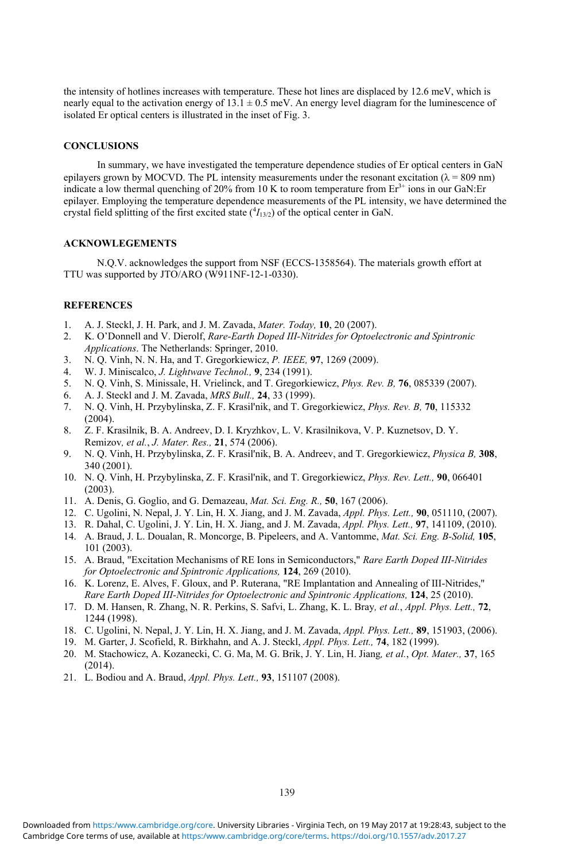the intensity of hotlines increases with temperature. These hot lines are displaced by 12.6 meV, which is nearly equal to the activation energy of  $13.1 \pm 0.5$  meV. An energy level diagram for the luminescence of isolated Er optical centers is illustrated in the inset of Fig. 3.

### **CONCLUSIONS**

In summary, we have investigated the temperature dependence studies of Er optical centers in GaN epilayers grown by MOCVD. The PL intensity measurements under the resonant excitation ( $\lambda = 809$  nm) indicate a low thermal quenching of 20% from 10 K to room temperature from  $Er^{3+}$  ions in our GaN:Er epilayer. Employing the temperature dependence measurements of the PL intensity, we have determined the crystal field splitting of the first excited state  $(^{4}I_{13/2})$  of the optical center in GaN.

## **ACKNOWLEGEMENTS**

N.Q.V. acknowledges the support from NSF (ECCS-1358564). The materials growth effort at TTU was supported by JTO/ARO (W911NF-12-1-0330).

## **REFERENCES**

- 1. A. J. Steckl, J. H. Park, and J. M. Zavada, *Mater. Today,* **10**, 20 (2007).
- 2. K. O'Donnell and V. Dierolf, *Rare-Earth Doped III-Nitrides for Optoelectronic and Spintronic Applications*. The Netherlands: Springer, 2010.
- 3. N. Q. Vinh, N. N. Ha, and T. Gregorkiewicz, *P. IEEE,* **97**, 1269 (2009).
- 4. W. J. Miniscalco, *J. Lightwave Technol.,* **9**, 234 (1991).
- 5. N. Q. Vinh, S. Minissale, H. Vrielinck, and T. Gregorkiewicz, *Phys. Rev. B,* **76**, 085339 (2007).
- 6. A. J. Steckl and J. M. Zavada, *MRS Bull.,* **24**, 33 (1999).
- 7. N. Q. Vinh, H. Przybylinska, Z. F. Krasil'nik, and T. Gregorkiewicz, *Phys. Rev. B,* **70**, 115332 (2004).
- 8. Z. F. Krasilnik, B. A. Andreev, D. I. Kryzhkov, L. V. Krasilnikova, V. P. Kuznetsov, D. Y. Remizov*, et al.*, *J. Mater. Res.,* **21**, 574 (2006).
- 9. N. Q. Vinh, H. Przybylinska, Z. F. Krasil'nik, B. A. Andreev, and T. Gregorkiewicz, *Physica B,* **308**, 340 (2001).
- 10. N. Q. Vinh, H. Przybylinska, Z. F. Krasil'nik, and T. Gregorkiewicz, *Phys. Rev. Lett.,* **90**, 066401 (2003).
- 11. A. Denis, G. Goglio, and G. Demazeau, *Mat. Sci. Eng. R.,* **50**, 167 (2006).
- 12. C. Ugolini, N. Nepal, J. Y. Lin, H. X. Jiang, and J. M. Zavada, *Appl. Phys. Lett.,* **90**, 051110, (2007).
- 13. R. Dahal, C. Ugolini, J. Y. Lin, H. X. Jiang, and J. M. Zavada, *Appl. Phys. Lett.,* **97**, 141109, (2010).
- 14. A. Braud, J. L. Doualan, R. Moncorge, B. Pipeleers, and A. Vantomme, *Mat. Sci. Eng. B-Solid,* **105**, 101 (2003).
- 15. A. Braud, "Excitation Mechanisms of RE Ions in Semiconductors," *Rare Earth Doped III-Nitrides for Optoelectronic and Spintronic Applications,* **124**, 269 (2010).
- 16. K. Lorenz, E. Alves, F. Gloux, and P. Ruterana, "RE Implantation and Annealing of III-Nitrides," *Rare Earth Doped III-Nitrides for Optoelectronic and Spintronic Applications,* **124**, 25 (2010).
- 17. D. M. Hansen, R. Zhang, N. R. Perkins, S. Safvi, L. Zhang, K. L. Bray*, et al.*, *Appl. Phys. Lett.,* **72**, 1244 (1998).
- 18. C. Ugolini, N. Nepal, J. Y. Lin, H. X. Jiang, and J. M. Zavada, *Appl. Phys. Lett.,* **89**, 151903, (2006).
- 19. M. Garter, J. Scofield, R. Birkhahn, and A. J. Steckl, *Appl. Phys. Lett.,* **74**, 182 (1999).
- 20. M. Stachowicz, A. Kozanecki, C. G. Ma, M. G. Brik, J. Y. Lin, H. Jiang*, et al.*, *Opt. Mater.,* **37**, 165 (2014).
- 21. L. Bodiou and A. Braud, *Appl. Phys. Lett.,* **93**, 151107 (2008).